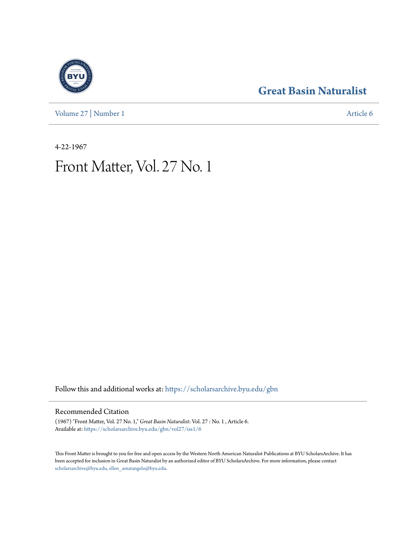[Volume 27](https://scholarsarchive.byu.edu/gbn/vol27?utm_source=scholarsarchive.byu.edu%2Fgbn%2Fvol27%2Fiss1%2F6&utm_medium=PDF&utm_campaign=PDFCoverPages) | [Number 1](https://scholarsarchive.byu.edu/gbn/vol27/iss1?utm_source=scholarsarchive.byu.edu%2Fgbn%2Fvol27%2Fiss1%2F6&utm_medium=PDF&utm_campaign=PDFCoverPages) [Article 6](https://scholarsarchive.byu.edu/gbn/vol27/iss1/6?utm_source=scholarsarchive.byu.edu%2Fgbn%2Fvol27%2Fiss1%2F6&utm_medium=PDF&utm_campaign=PDFCoverPages)

### **[Great Basin Naturalist](https://scholarsarchive.byu.edu/gbn?utm_source=scholarsarchive.byu.edu%2Fgbn%2Fvol27%2Fiss1%2F6&utm_medium=PDF&utm_campaign=PDFCoverPages)**

4-22-1967

## Front Matter, Vol. 27 No. 1

Follow this and additional works at: [https://scholarsarchive.byu.edu/gbn](https://scholarsarchive.byu.edu/gbn?utm_source=scholarsarchive.byu.edu%2Fgbn%2Fvol27%2Fiss1%2F6&utm_medium=PDF&utm_campaign=PDFCoverPages)

#### Recommended Citation

(1967) "Front Matter, Vol. 27 No. 1," *Great Basin Naturalist*: Vol. 27 : No. 1 , Article 6. Available at: [https://scholarsarchive.byu.edu/gbn/vol27/iss1/6](https://scholarsarchive.byu.edu/gbn/vol27/iss1/6?utm_source=scholarsarchive.byu.edu%2Fgbn%2Fvol27%2Fiss1%2F6&utm_medium=PDF&utm_campaign=PDFCoverPages)

This Front Matter is brought to you for free and open access by the Western North American Naturalist Publications at BYU ScholarsArchive. It has been accepted for inclusion in Great Basin Naturalist by an authorized editor of BYU ScholarsArchive. For more information, please contact [scholarsarchive@byu.edu, ellen\\_amatangelo@byu.edu.](mailto:scholarsarchive@byu.edu,%20ellen_amatangelo@byu.edu)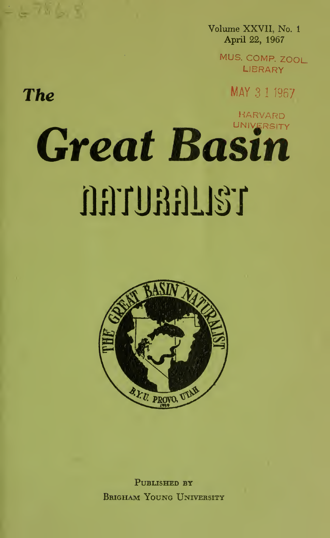Volume XXVII, No. <sup>1</sup> April 22, 1967

> MUS. COMP. ZOOL. **LIBRARY**

> > MAY 3 <sup>1</sup> 1967

HARVARD

# **UNIVERSITY** Great Basin narunang

The

 $278688$ 



PUBLISHED BY Brigham Young University